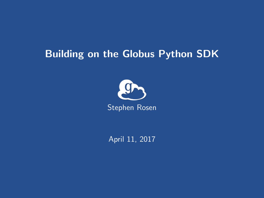# Building on the Globus Python SDK



April 11, 2017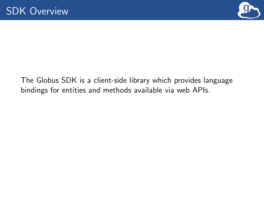

The Globus SDK is a client-side library which provides language bindings for entities and methods available via web APIs.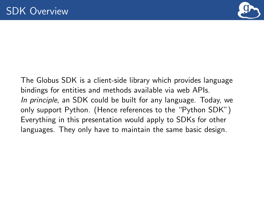

The Globus SDK is a client-side library which provides language bindings for entities and methods available via web APIs. In principle, an SDK could be built for any language. Today, we only support Python. (Hence references to the "Python SDK") Everything in this presentation would apply to SDKs for other languages. They only have to maintain the same basic design.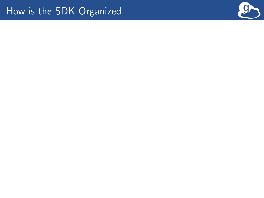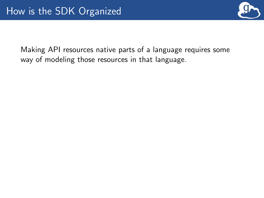

Making API resources native parts of a language requires some way of modeling those resources in that language.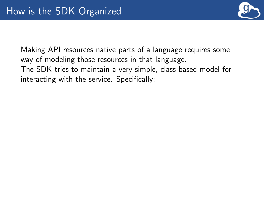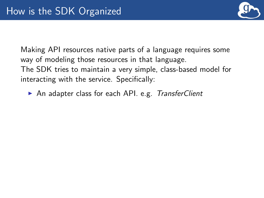

▶ An adapter class for each API. e.g. TransferClient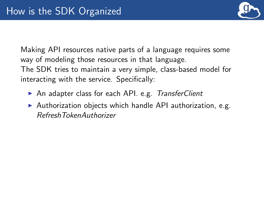

- ▶ An adapter class for each API. e.g. TransferClient
- $\triangleright$  Authorization objects which handle API authorization, e.g. RefreshTokenAuthorizer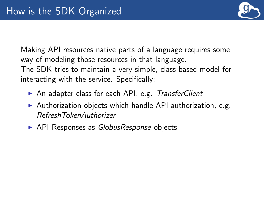

- ▶ An adapter class for each API. e.g. TransferClient
- $\triangleright$  Authorization objects which handle API authorization, e.g. RefreshTokenAuthorizer
- $\triangleright$  API Responses as *GlobusResponse* objects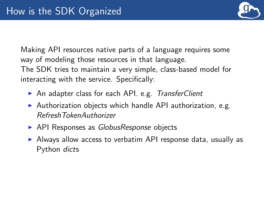

- ▶ An adapter class for each API. e.g. TransferClient
- $\triangleright$  Authorization objects which handle API authorization, e.g. RefreshTokenAuthorizer
- $\triangleright$  API Responses as *GlobusResponse* objects
- $\triangleright$  Always allow access to verbatim API response data, usually as Python dicts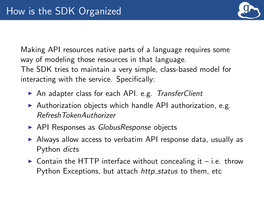

- ▶ An adapter class for each API. e.g. TransferClient
- $\triangleright$  Authorization objects which handle API authorization, e.g. RefreshTokenAuthorizer
- $\triangleright$  API Responses as *GlobusResponse* objects
- $\triangleright$  Always allow access to verbatim API response data, usually as Python dicts
- $\triangleright$  Contain the HTTP interface without concealing it i.e. throw Python Exceptions, but attach http\_status to them, etc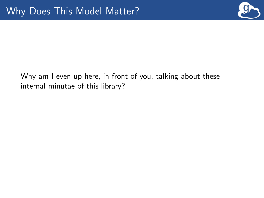

## Why am I even up here, in front of you, talking about these internal minutae of this library?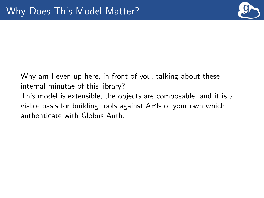

Why am I even up here, in front of you, talking about these internal minutae of this library? This model is extensible, the objects are composable, and it is a viable basis for building tools against APIs of your own which authenticate with Globus Auth.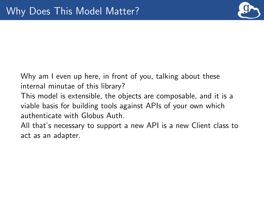

Why am I even up here, in front of you, talking about these internal minutae of this library?

This model is extensible, the objects are composable, and it is a viable basis for building tools against APIs of your own which authenticate with Globus Auth.

All that's necessary to support a new API is a new Client class to act as an adapter.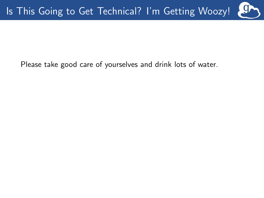Please take good care of yourselves and drink lots of water.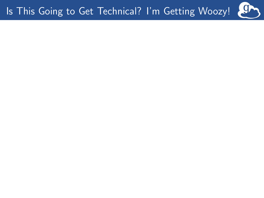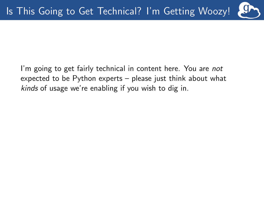I'm going to get fairly technical in content here. You are not expected to be Python experts – please just think about what kinds of usage we're enabling if you wish to dig in.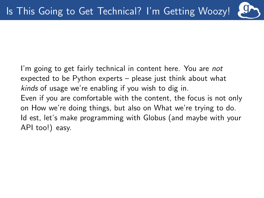I'm going to get fairly technical in content here. You are not expected to be Python experts – please just think about what kinds of usage we're enabling if you wish to dig in. Even if you are comfortable with the content, the focus is not only on How we're doing things, but also on What we're trying to do. Id est, let's make programming with Globus (and maybe with your API too!) easy.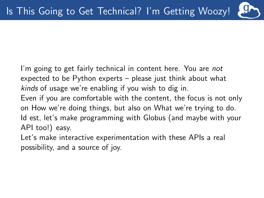I'm going to get fairly technical in content here. You are not expected to be Python experts – please just think about what kinds of usage we're enabling if you wish to dig in.

Even if you are comfortable with the content, the focus is not only on How we're doing things, but also on What we're trying to do. Id est, let's make programming with Globus (and maybe with your API too!) easy.

Let's make interactive experimentation with these APIs a real possibility, and a source of joy.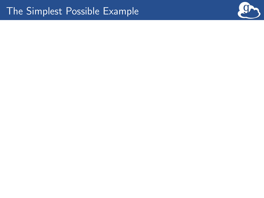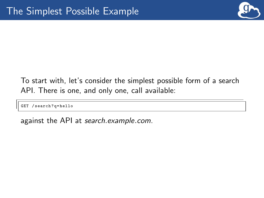

## To start with, let's consider the simplest possible form of a search API. There is one, and only one, call available:

GET / search ?q= hello

against the API at search.example.com.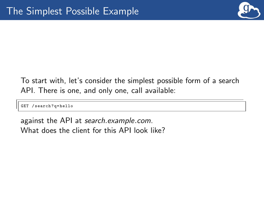

To start with, let's consider the simplest possible form of a search API. There is one, and only one, call available:

GET / search ?q= hello

against the API at search.example.com. What does the client for this API look like?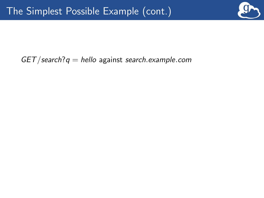

### $GET/search?q = hello$  against search.example.com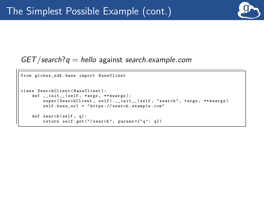

#### $GET/search?q =$  hello against search.example.com

```
from globus sdk . base import BaseClient
class SearchClient ( BaseClient ):
    def __init__ ( self, * args, ** kwargs ):
         super ( SearchClient, self ). __init__ ( self, " search ", *args, ** kwargs )
         self . base_url = " https :// search . example . com "
    def search (self, q):
         return self . get ("/ search ", params ={" q ": q })
```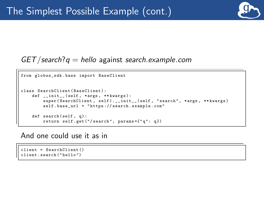

#### $GET/search?q =$  hello against search.example.com

```
from globus sdk . base import BaseClient
class SearchClient ( BaseClient ):
    def __init__(self, *args, **kwargs):
         super ( SearchClient, self ). __init__ ( self, " search ", *args, ** kwargs )
         self . base_url = " https :// search . example . com "
    def search (self, q):
         return self . get ("/ search ", params ={" q ": q })
```
And one could use it as in

client = SearchClient () client . search (" hello ")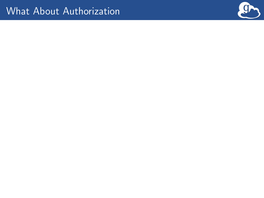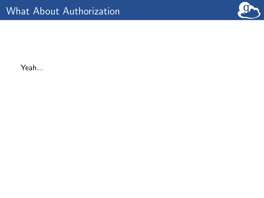

Yeah...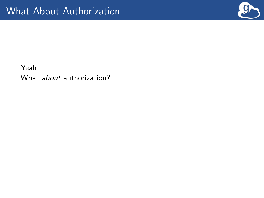

Yeah... What *about* authorization?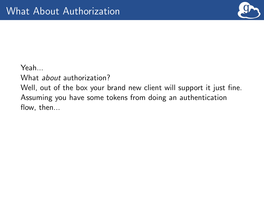

Yeah...

What *about* authorization?

Well, out of the box your brand new client will support it just fine. Assuming you have some tokens from doing an authentication flow, then...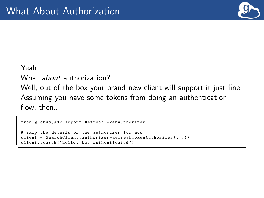

Yeah...

What *about* authorization?

Well, out of the box your brand new client will support it just fine. Assuming you have some tokens from doing an authentication flow, then...

```
from globus sdk import RefreshTokenAuthorizer
                          authorizer for now
                 ient (authorizer=RefreshTokenAuthorizer (...))
       search ("hello, but authenticated")
```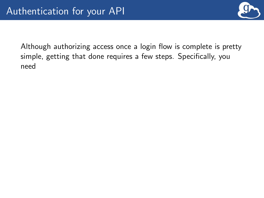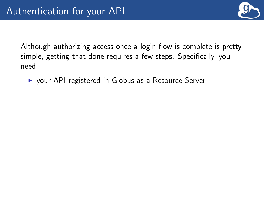

▶ your API registered in Globus as a Resource Server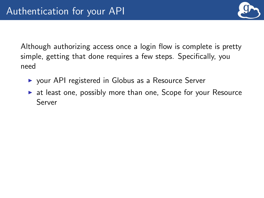

- $\triangleright$  your API registered in Globus as a Resource Server
- $\triangleright$  at least one, possibly more than one, Scope for your Resource Server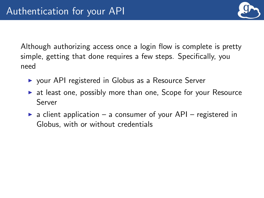

- $\triangleright$  your API registered in Globus as a Resource Server
- $\triangleright$  at least one, possibly more than one, Scope for your Resource Server
- $\triangleright$  a client application a consumer of your API registered in Globus, with or without credentials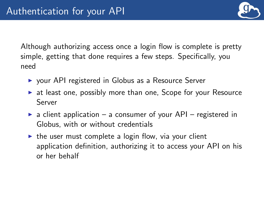- $\triangleright$  your API registered in Globus as a Resource Server
- $\triangleright$  at least one, possibly more than one, Scope for your Resource Server
- $\triangleright$  a client application a consumer of your API registered in Globus, with or without credentials
- $\triangleright$  the user must complete a login flow, via your client application definition, authorizing it to access your API on his or her behalf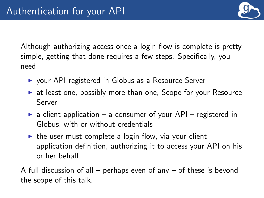- $\triangleright$  your API registered in Globus as a Resource Server
- $\triangleright$  at least one, possibly more than one, Scope for your Resource Server
- $\triangleright$  a client application a consumer of your API registered in Globus, with or without credentials
- $\triangleright$  the user must complete a login flow, via your client application definition, authorizing it to access your API on his or her behalf

A full discussion of all – perhaps even of any – of these is beyond the scope of this talk.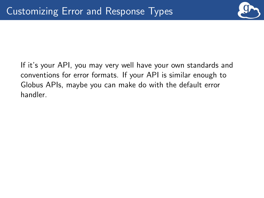

If it's your API, you may very well have your own standards and conventions for error formats. If your API is similar enough to Globus APIs, maybe you can make do with the default error handler.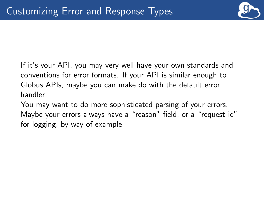

If it's your API, you may very well have your own standards and conventions for error formats. If your API is similar enough to Globus APIs, maybe you can make do with the default error handler.

You may want to do more sophisticated parsing of your errors. Maybe your errors always have a "reason" field, or a "request id" for logging, by way of example.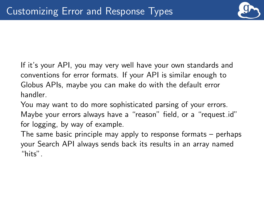

If it's your API, you may very well have your own standards and conventions for error formats. If your API is similar enough to Globus APIs, maybe you can make do with the default error handler.

You may want to do more sophisticated parsing of your errors. Maybe your errors always have a "reason" field, or a "request id" for logging, by way of example.

The same basic principle may apply to response formats – perhaps your Search API always sends back its results in an array named "hits".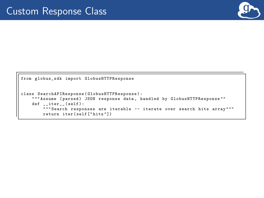

```
from globus_sdk import GlobusHTTPResponse
class SearchAPIResponse ( GlobusHTTPResponse ):
    "" Assume (parsed) JSON response data, handled by GlobusHTTPResponse""
    def =iter_-(self):""" Search responses are iterable -- iterate over search hits array """
        return iter ( self [" hits "])
```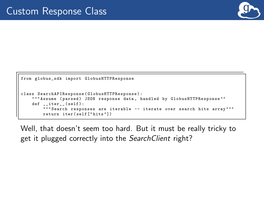

```
from globus_sdk import GlobusHTTPResponse
class SearchAPIResponse ( GlobusHTTPResponse ):
              (parsed) JSON response data, handled by GlobusHTTPResponse
    def iter ( self ) :
        """ Search responses are iterable -- iterate over search hits array """
        return iter ( self [" hits "])
```
Well, that doesn't seem too hard. But it must be really tricky to get it plugged correctly into the Search Client right?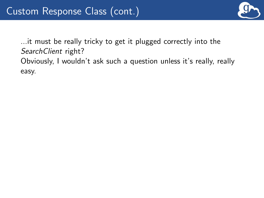

...it must be really tricky to get it plugged correctly into the Search Client right? Obviously, I wouldn't ask such a question unless it's really, really easy.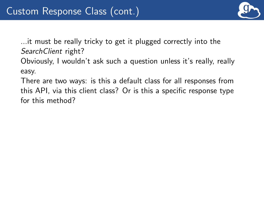

...it must be really tricky to get it plugged correctly into the SearchClient right?

Obviously, I wouldn't ask such a question unless it's really, really easy.

There are two ways: is this a default class for all responses from this API, via this client class? Or is this a specific response type for this method?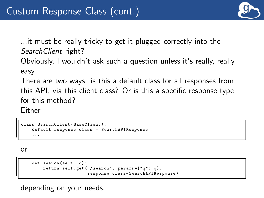

...it must be really tricky to get it plugged correctly into the Search Client right?

Obviously, I wouldn't ask such a question unless it's really, really easy.

There are two ways: is this a default class for all responses from this API, via this client class? Or is this a specific response type for this method?

Either

```
class SearchClient ( BaseClient ):
    default response class = SearchAPIResponse
    ...
```
or

```
def search (self, q):
    return self . get ("/ search ", params ={" q ": q},
                       response_class = SearchAPIResponse )
```
depending on your needs.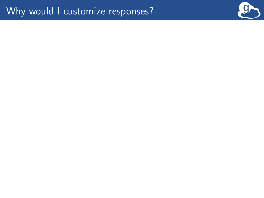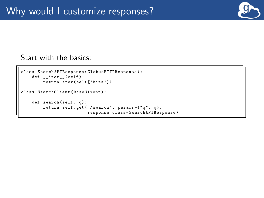

Start with the basics:

```
class SearchAPIResponse ( GlobusHTTPResponse ):
    def iter (self):
         return iter ( self [" hits "])
class SearchClient ( BaseClient ):
    ...
def search ( self , q):
         return self . get ("/ search ", params ={" q ": q},
                           response_class = SearchAPIResponse )
```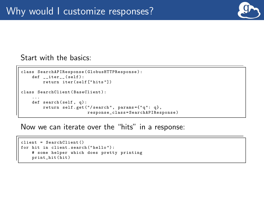

Start with the basics:

```
class SearchAPIResponse ( GlobusHTTPResponse ):
    def iter (self):
         return iter ( self [" hits "])
class SearchClient ( BaseClient ):
    ...
def search ( self , q):
         return self . get ("/ search ", params ={" q ": q},
                           response_class = SearchAPIResponse )
```
Now we can iterate over the "hits" in a response:

```
client = SearchClient ()
for hit in client . search (" hello ") :
    # some helper which does pretty printing
    print hit (hit)
```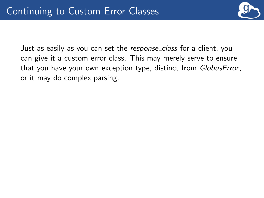

Just as easily as you can set the response class for a client, you can give it a custom error class. This may merely serve to ensure that you have your own exception type, distinct from GlobusError, or it may do complex parsing.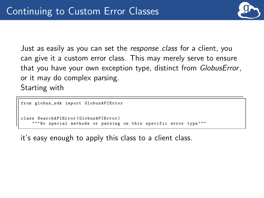

Just as easily as you can set the response class for a client, you can give it a custom error class. This may merely serve to ensure that you have your own exception type, distinct from GlobusError, or it may do complex parsing. Starting with

```
from globus sdk import GlobusAPIError
                    (GlobusAPIError)
                      ods or parsing on this specific error type
```
it's easy enough to apply this class to a client class.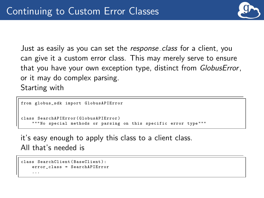

Just as easily as you can set the response\_class for a client, you can give it a custom error class. This may merely serve to ensure that you have your own exception type, distinct from GlobusError, or it may do complex parsing. Starting with

```
from globus_sdk import GlobusAPIError
                   class SearchAPIError ( GlobusAPIError )
                    methods or parsing on this specific error type
```
it's easy enough to apply this class to a client class.

All that's needed is

```
class SearchClient ( BaseClient ):
    error_class = SearchAPIError
    ...
```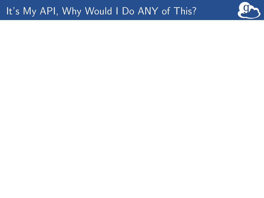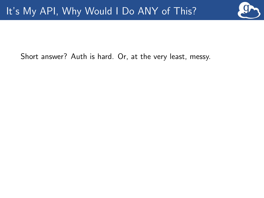

Short answer? Auth is hard. Or, at the very least, messy.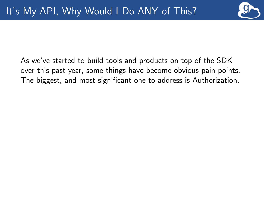

As we've started to build tools and products on top of the SDK over this past year, some things have become obvious pain points. The biggest, and most significant one to address is Authorization.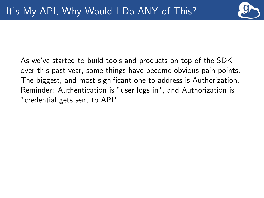

As we've started to build tools and products on top of the SDK over this past year, some things have become obvious pain points. The biggest, and most significant one to address is Authorization. Reminder: Authentication is "user logs in", and Authorization is "credential gets sent to API"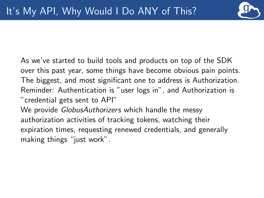

As we've started to build tools and products on top of the SDK over this past year, some things have become obvious pain points. The biggest, and most significant one to address is Authorization. Reminder: Authentication is "user logs in", and Authorization is "credential gets sent to API"

We provide *GlobusAuthorizers* which handle the messy authorization activities of tracking tokens, watching their expiration times, requesting renewed credentials, and generally making things "just work".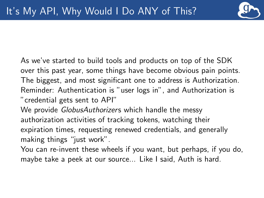

As we've started to build tools and products on top of the SDK over this past year, some things have become obvious pain points. The biggest, and most significant one to address is Authorization. Reminder: Authentication is "user logs in", and Authorization is "credential gets sent to API"

We provide *GlobusAuthorizers* which handle the messy authorization activities of tracking tokens, watching their expiration times, requesting renewed credentials, and generally making things "just work".

You can re-invent these wheels if you want, but perhaps, if you do, maybe take a peek at our source... Like I said, Auth is hard.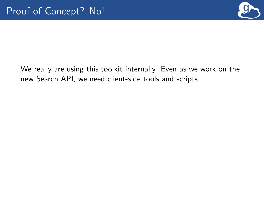

We really are using this toolkit internally. Even as we work on the new Search API, we need client-side tools and scripts.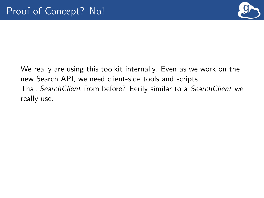

We really are using this toolkit internally. Even as we work on the new Search API, we need client-side tools and scripts. That SearchClient from before? Eerily similar to a SearchClient we really use.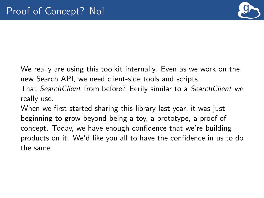

We really are using this toolkit internally. Even as we work on the new Search API, we need client-side tools and scripts.

That SearchClient from before? Eerily similar to a SearchClient we really use.

When we first started sharing this library last year, it was just beginning to grow beyond being a toy, a prototype, a proof of concept. Today, we have enough confidence that we're building products on it. We'd like you all to have the confidence in us to do the same.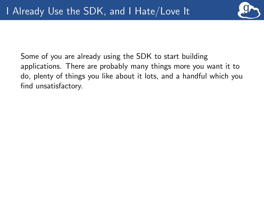

Some of you are already using the SDK to start building applications. There are probably many things more you want it to do, plenty of things you like about it lots, and a handful which you find unsatisfactory.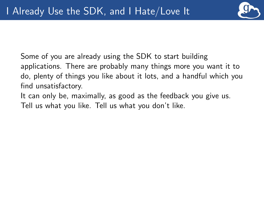

Some of you are already using the SDK to start building applications. There are probably many things more you want it to do, plenty of things you like about it lots, and a handful which you find unsatisfactory.

It can only be, maximally, as good as the feedback you give us. Tell us what you like. Tell us what you don't like.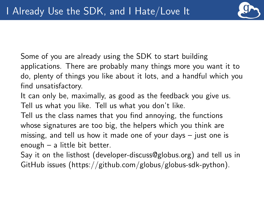

Some of you are already using the SDK to start building applications. There are probably many things more you want it to do, plenty of things you like about it lots, and a handful which you find unsatisfactory.

It can only be, maximally, as good as the feedback you give us. Tell us what you like. Tell us what you don't like.

Tell us the class names that you find annoying, the functions whose signatures are too big, the helpers which you think are missing, and tell us how it made one of your days – just one is enough – a little bit better.

Say it on the listhost (developer-discuss@globus.org) and tell us in GitHub issues (https://github.com/globus/globus-sdk-python).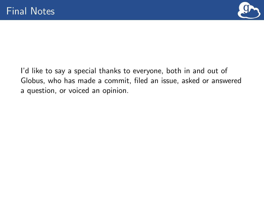

I'd like to say a special thanks to everyone, both in and out of Globus, who has made a commit, filed an issue, asked or answered a question, or voiced an opinion.